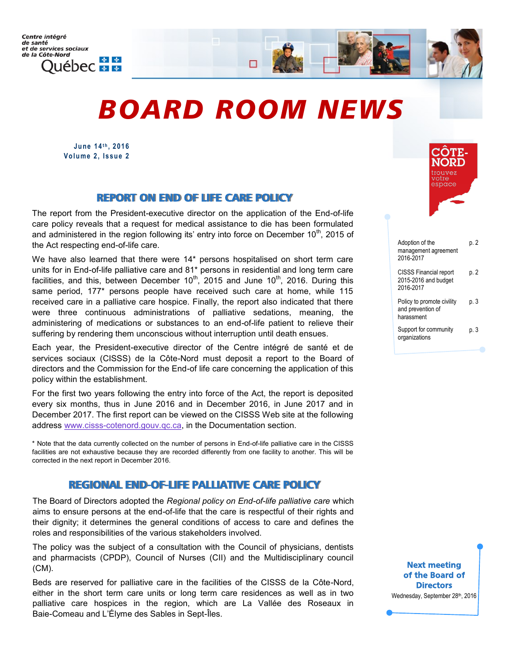# *BOARD ROOM NEWS*

**June 14 t h , 2 01 6** Volume 2, Issue 2

## REPORT ON END OF LIFE CARE POLICY

The report from the President-executive director on the application of the End-of-life care policy reveals that a request for medical assistance to die has been formulated and administered in the region following its' entry into force on December 10<sup>th</sup>, 2015 of the Act respecting end-of-life care.

We have also learned that there were 14<sup>\*</sup> persons hospitalised on short term care units for in End-of-life palliative care and 81\* persons in residential and long term care facilities, and this, between December  $10^{th}$ , 2015 and June  $10^{th}$ , 2016. During this same period, 177\* persons people have received such care at home, while 115 received care in a palliative care hospice. Finally, the report also indicated that there were three continuous administrations of palliative sedations, meaning, the administering of medications or substances to an end-of-life patient to relieve their suffering by rendering them unconscious without interruption until death ensues.

Each year, the President-executive director of the Centre intégré de santé et de services sociaux (CISSS) de la Côte-Nord must deposit a report to the Board of directors and the Commission for the End-of life care concerning the application of this policy within the establishment.

For the first two years following the entry into force of the Act, the report is deposited every six months, thus in June 2016 and in December 2016, in June 2017 and in December 2017. The first report can be viewed on the CISSS Web site at the following address www.cisss-[cotenord.gouv.qc.ca,](http://www.cisss-cotenord.gouv.qc.ca) in the Documentation section.

\* Note that the data currently collected on the number of persons in End-of-life palliative care in the CISSS facilities are not exhaustive because they are recorded differently from one facility to another. This will be corrected in the next report in December 2016.

#### REGIONAL END-OF-LIFE PALLIATIVE CARE POLICY

The Board of Directors adopted the *Regional policy on End-of-life palliative care* which aims to ensure persons at the end-of-life that the care is respectful of their rights and their dignity; it determines the general conditions of access to care and defines the roles and responsibilities of the various stakeholders involved.

The policy was the subject of a consultation with the Council of physicians, dentists and pharmacists (CPDP), Council of Nurses (CII) and the Multidisciplinary council (CM).

Beds are reserved for palliative care in the facilities of the CISSS de la Côte-Nord, either in the short term care units or long term care residences as well as in two palliative care hospices in the region, which are La Vallée des Roseaux in Baie-Comeau and L'Élyme des Sables in Sept-Îles.



| Adoption of the<br>management agreement<br>2016-2017               | p. 2 |
|--------------------------------------------------------------------|------|
| <b>CISSS Financial report</b><br>2015-2016 and budget<br>2016-2017 | p. 2 |
| Policy to promote civility<br>and prevention of<br>harassment      | p. 3 |
| Support for community<br>organizations                             | p. 3 |
|                                                                    |      |

Next meeting of the Board of **Directors** Wednesday, September 28th, 2016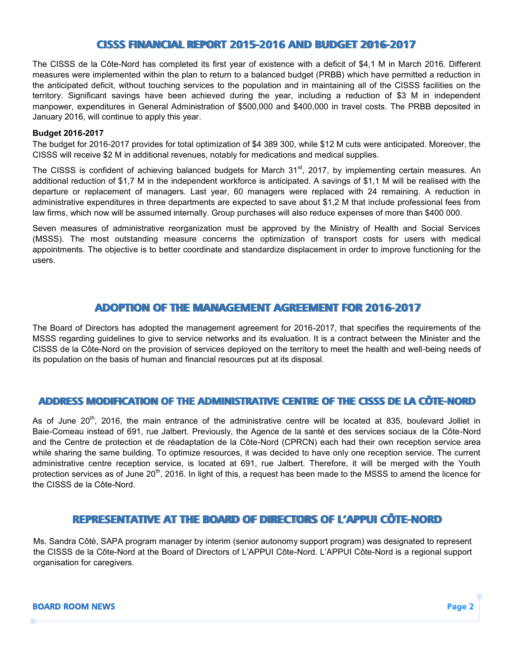# CISSS FINANCIAL REPORT 2015-2016 AND BUDGET 2016-2017

The CISSS de la Côte-Nord has completed its first year of existence with a deficit of \$4,1 M in March 2016. Different measures were implemented within the plan to return to a balanced budget (PRBB) which have permitted a reduction in the anticipated deficit, without touching services to the population and in maintaining all of the CISSS facilities on the territory. Significant savings have been achieved during the year, including a reduction of \$3 M in independent manpower, expenditures in General Administration of \$500,000 and \$400,000 in travel costs. The PRBB deposited in January 2016, will continue to apply this year.

#### **Budget 2016-2017**

The budget for 2016-2017 provides for total optimization of \$4 389 300, while \$12 M cuts were anticipated. Moreover, the CISSS will receive \$2 M in additional revenues, notably for medications and medical supplies.

The CISSS is confident of achieving balanced budgets for March 31<sup>st</sup>, 2017, by implementing certain measures. An additional reduction of \$1,7 M in the independent workforce is anticipated. A savings of \$1,1 M will be realised with the departure or replacement of managers. Last year, 60 managers were replaced with 24 remaining. A reduction in administrative expenditures in three departments are expected to save about \$1,2 M that include professional fees from law firms, which now will be assumed internally. Group purchases will also reduce expenses of more than \$400 000.

Seven measures of administrative reorganization must be approved by the Ministry of Health and Social Services (MSSS). The most outstanding measure concerns the optimization of transport costs for users with medical appointments. The objective is to better coordinate and standardize displacement in order to improve functioning for the users.

# ADOPTION OF THE MANAGEMENT AGREEMENT FOR 2016-2017

The Board of Directors has adopted the management agreement for 2016-2017, that specifies the requirements of the MSSS regarding guidelines to give to service networks and its evaluation. It is a contract between the Minister and the CISSS de la Côte-Nord on the provision of services deployed on the territory to meet the health and well-being needs of its population on the basis of human and financial resources put at its disposal.

#### ADDRESS MODIFICATION OF THE ADMINISTRATIVE CENTRE OF THE CISSS DE LA CÔTE-NORD

As of June 20<sup>th</sup>, 2016, the main entrance of the administrative centre will be located at 835, boulevard Jolliet in Baie-Comeau instead of 691, rue Jalbert. Previously, the Agence de la santé et des services sociaux de la Côte-Nord and the Centre de protection et de réadaptation de la Côte-Nord (CPRCN) each had their own reception service area while sharing the same building. To optimize resources, it was decided to have only one reception service. The current administrative centre reception service, is located at 691, rue Jalbert. Therefore, it will be merged with the Youth protection services as of June 20<sup>th</sup>, 2016. In light of this, a request has been made to the MSSS to amend the licence for the CISSS de la Côte-Nord.

# REPRESENTATIVE AT THE BOARD OF DIRECTORS OF L'APPUI CÔTE-NORD

Ms. Sandra Côté, SAPA program manager by interim (senior autonomy support program) was designated to represent the CISSS de la Côte-Nord at the Board of Directors of L'APPUI Côte-Nord. L'APPUI Côte-Nord is a regional support organisation for caregivers.